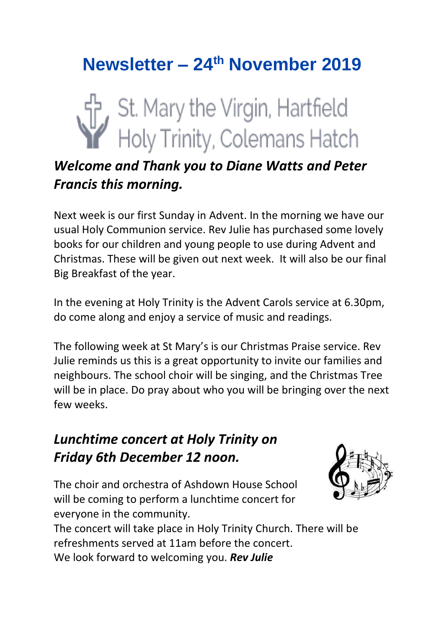# **Newsletter – 24th November 2019**



## *Welcome and Thank you to Diane Watts and Peter Francis this morning.*

Next week is our first Sunday in Advent. In the morning we have our usual Holy Communion service. Rev Julie has purchased some lovely books for our children and young people to use during Advent and Christmas. These will be given out next week. It will also be our final Big Breakfast of the year.

In the evening at Holy Trinity is the Advent Carols service at 6.30pm, do come along and enjoy a service of music and readings.

The following week at St Mary's is our Christmas Praise service. Rev Julie reminds us this is a great opportunity to invite our families and neighbours. The school choir will be singing, and the Christmas Tree will be in place. Do pray about who you will be bringing over the next few weeks.

## *Lunchtime concert at Holy Trinity on Friday 6th December 12 noon.*

The choir and orchestra of Ashdown House School will be coming to perform a lunchtime concert for everyone in the community.



The concert will take place in Holy Trinity Church. There will be refreshments served at 11am before the concert. We look forward to welcoming you. *Rev Julie*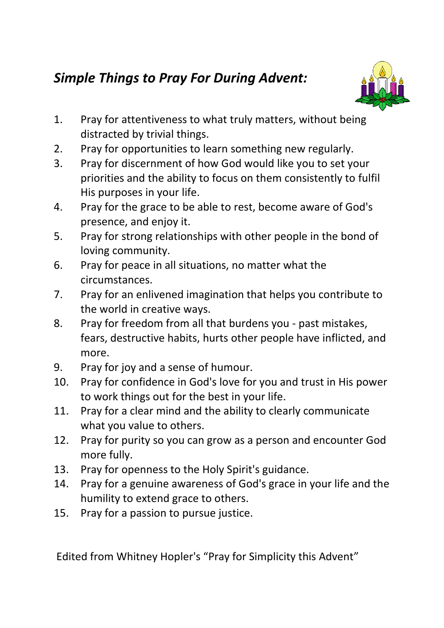## *Simple Things to Pray For During Advent:*



- 1. Pray for attentiveness to what truly matters, without being distracted by trivial things.
- 2. Pray for opportunities to learn something new regularly.
- 3. Pray for discernment of how God would like you to set your priorities and the ability to focus on them consistently to fulfil His purposes in your life.
- 4. Pray for the grace to be able to rest, become aware of God's presence, and enjoy it.
- 5. Pray for strong relationships with other people in the bond of loving community.
- 6. Pray for peace in all situations, no matter what the circumstances.
- 7. Pray for an enlivened imagination that helps you contribute to the world in creative ways.
- 8. Pray for freedom from all that burdens you past mistakes, fears, destructive habits, hurts other people have inflicted, and more.
- 9. Pray for joy and a sense of humour.
- 10. Pray for confidence in God's love for you and trust in His power to work things out for the best in your life.
- 11. Pray for a clear mind and the ability to clearly communicate what you value to others.
- 12. Pray for purity so you can grow as a person and encounter God more fully.
- 13. Pray for openness to the Holy Spirit's guidance.
- 14. Pray for a genuine awareness of God's grace in your life and the humility to extend grace to others.
- 15. Pray for a passion to pursue justice.

Edited from Whitney Hopler's "Pray for Simplicity this Advent"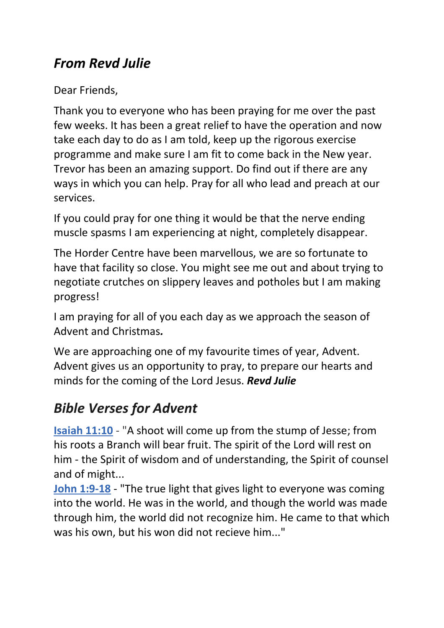## *From Revd Julie*

Dear Friends,

Thank you to everyone who has been praying for me over the past few weeks. It has been a great relief to have the operation and now take each day to do as I am told, keep up the rigorous exercise programme and make sure I am fit to come back in the New year. Trevor has been an amazing support. Do find out if there are any ways in which you can help. Pray for all who lead and preach at our services.

If you could pray for one thing it would be that the nerve ending muscle spasms I am experiencing at night, completely disappear.

The Horder Centre have been marvellous, we are so fortunate to have that facility so close. You might see me out and about trying to negotiate crutches on slippery leaves and potholes but I am making progress!

I am praying for all of you each day as we approach the season of Advent and Christmas*.*

We are approaching one of my favourite times of year, Advent. Advent gives us an opportunity to pray, to prepare our hearts and minds for the coming of the Lord Jesus. *Revd Julie*

## *Bible Verses for Advent*

**[Isaiah 11:10](https://nam02.safelinks.protection.outlook.com/?url=https%3A%2F%2Fwww.biblestudytools.com%2Fpassage%2F%3Fq%3Disaiah%2B11%3A1-10&data=02%7C01%7C%7Caed53a1a02e349607a3a08d76ffc0a70%7C84df9e7fe9f640afb435aaaaaaaaaaaa%7C1%7C0%7C637101000602194098&sdata=UfSI7OVcCwry5xYhvlf3rTJ%2B4%2FPgdRlDRq%2FbIIrDFpA%3D&reserved=0)** - "A shoot will come up from the stump of Jesse; from his roots a Branch will bear fruit. The spirit of the Lord will rest on him - the Spirit of wisdom and of understanding, the Spirit of counsel and of might...

**[John 1:9-18](https://nam02.safelinks.protection.outlook.com/?url=https%3A%2F%2Fwww.biblestudytools.com%2Fpassage%2F%3Fq%3Djohn%2B1%3A9-18&data=02%7C01%7C%7Caed53a1a02e349607a3a08d76ffc0a70%7C84df9e7fe9f640afb435aaaaaaaaaaaa%7C1%7C0%7C637101000602204103&sdata=jPfhhtqnU4N0K1OSDtLsT1iGFGewYFOlUTv3H8eUUbA%3D&reserved=0)** - "The true light that gives light to everyone was coming into the world. He was in the world, and though the world was made through him, the world did not recognize him. He came to that which was his own, but his won did not recieve him..."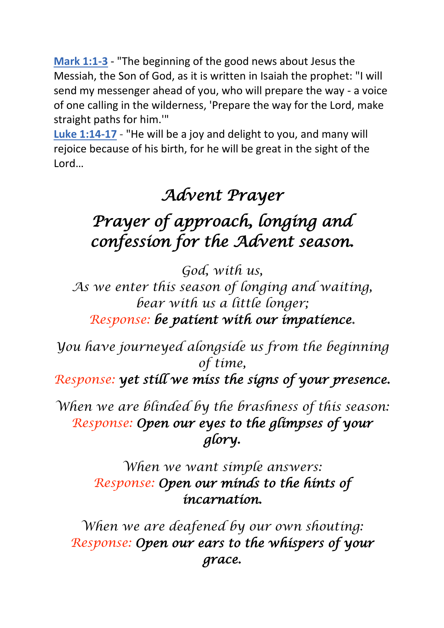**[Mark 1:1-3](https://nam02.safelinks.protection.outlook.com/?url=https%3A%2F%2Fwww.biblestudytools.com%2Fpassage%2F%3Fq%3Dmark%2B1%3A1-3&data=02%7C01%7C%7Caed53a1a02e349607a3a08d76ffc0a70%7C84df9e7fe9f640afb435aaaaaaaaaaaa%7C1%7C0%7C637101000602214121&sdata=ldFBNHeMMoFMDxZSKeScSenqoqwAJ4XXEMdf5BY5Z8o%3D&reserved=0)** - "The beginning of the good news about Jesus the Messiah, the Son of God, as it is written in Isaiah the prophet: "I will send my messenger ahead of you, who will prepare the way - a voice of one calling in the wilderness, 'Prepare the way for the Lord, make straight paths for him.'"

**[Luke 1:14-17](https://nam02.safelinks.protection.outlook.com/?url=https%3A%2F%2Fwww.biblestudytools.com%2Fpassage%2F%3Fq%3Dluke%2B1%3A14-17&data=02%7C01%7C%7Caed53a1a02e349607a3a08d76ffc0a70%7C84df9e7fe9f640afb435aaaaaaaaaaaa%7C1%7C0%7C637101000602224126&sdata=qJ9t%2BCvxfTUDIP4AfnzZkeLmxvH0BJb0bXi7oUDGBkg%3D&reserved=0)** - "He will be a joy and delight to you, and many will rejoice because of his birth, for he will be great in the sight of the Lord…

## *Advent Prayer*

## *Prayer of approach, longing and confession for the Advent season.*

*God, with us,*

*As we enter this season of longing and waiting, bear with us a little longer; Response: be patient with our impatience.*

*You have journeyed alongside us from the beginning of time,*

*Response: yet still we miss the signs of your presence.* 

*When we are blinded by the brashness of this season: Response: Open our eyes to the glimpses of your glory.* 

> *When we want simple answers: Response: Open our minds to the hints of incarnation.*

*When we are deafened by our own shouting: Response: Open our ears to the whispers of your grace.*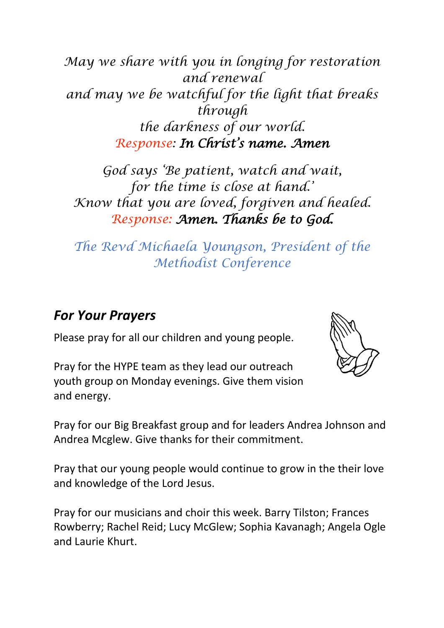*May we share with you in longing for restoration and renewal and may we be watchful for the light that breaks through the darkness of our world. Response: In Christ's name. Amen*

*God says 'Be patient, watch and wait, for the time is close at hand.' Know that you are loved, forgiven and healed. Response: Amen. Thanks be to God.* 

*The Revd Michaela Youngson, President of the Methodist Conference*

## *For Your Prayers*

Please pray for all our children and young people.

Pray for the HYPE team as they lead our outreach youth group on Monday evenings. Give them vision and energy.



Pray for our Big Breakfast group and for leaders Andrea Johnson and Andrea Mcglew. Give thanks for their commitment.

Pray that our young people would continue to grow in the their love and knowledge of the Lord Jesus.

Pray for our musicians and choir this week. Barry Tilston; Frances Rowberry; Rachel Reid; Lucy McGlew; Sophia Kavanagh; Angela Ogle and Laurie Khurt.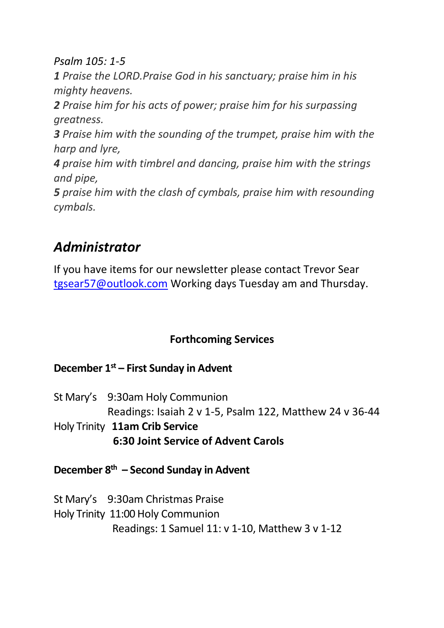*Psalm 105: 1-5*

*1 Praise the LORD.Praise God in his sanctuary; praise him in his mighty heavens.*

*2 Praise him for his acts of power; praise him for his surpassing greatness.*

*3 Praise him with the sounding of the trumpet, praise him with the harp and lyre,*

*4 praise him with timbrel and dancing, praise him with the strings and pipe,*

*5 praise him with the clash of cymbals, praise him with resounding cymbals.*

## *Administrator*

If you have items for our newsletter please contact Trevor Sear [tgsear57@outlook.com](mailto:tgsear57@outlook.com) Working days Tuesday am and Thursday.

### **Forthcoming Services**

#### **December 1st – First Sunday in Advent**

St Mary's 9:30am Holy Communion Readings: Isaiah 2 v 1-5, Psalm 122, Matthew 24 v 36-44 Holy Trinity **11am Crib Service 6:30 Joint Service of Advent Carols**

**December 8 th – Second Sunday in Advent**

St Mary's 9:30am Christmas Praise Holy Trinity 11:00 Holy Communion Readings: 1 Samuel 11: v 1-10, Matthew 3 v 1-12